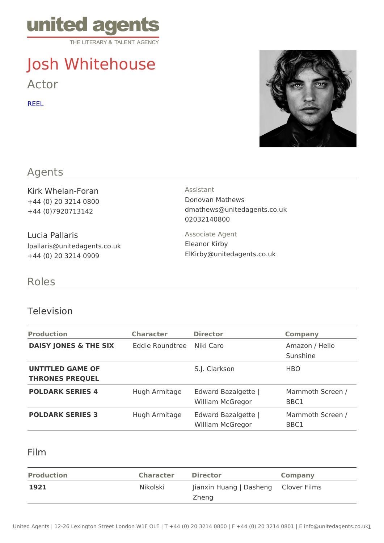# Josh Whitehouse

Actor

[REE](https://amphitheater.caa.com/joshwhitehouse2019)L

### Agents

Kirk Whelan-Foran +44 (0) 20 3214 0800 +44 (0)7920713142

Lucia Pallaris lpallaris@unitedagents.co.uk +44 (0) 20 3214 0909

Assistant

Donovan Mathews dmathews@unitedagents.co.uk 02032140800

Associate Agent

Eleanor Kirby ElKirby@unitedagents.co.uk

## Roles

#### Television

| Production                                   | Character Director |                                                                            | Company                    |
|----------------------------------------------|--------------------|----------------------------------------------------------------------------|----------------------------|
| DAISY JONES & THE SEXddie RoundtrNeiski Caro |                    |                                                                            | Amazon / Hello<br>Sunshine |
| UNTITLED GAME OF<br>THRONES PREQUEL          |                    | S.J. Clarkson                                                              | HBO                        |
| POLDARK SERIES 4                             |                    | Hugh Armitag Edward Bazalgette   Mammoth Screen /<br>William McGregor BBC1 |                            |
| POLDARK SERIES 3                             |                    | Hugh Armitag Edward Bazalgette   Mammoth Screen /<br>William McGregor      | BBC1                       |

## Film

| Production | Character Director |                                     | Company |
|------------|--------------------|-------------------------------------|---------|
| 1921       | Nikolski           | Jianxin Huang   DasChleonvoer Films |         |
|            |                    | Zheng                               |         |